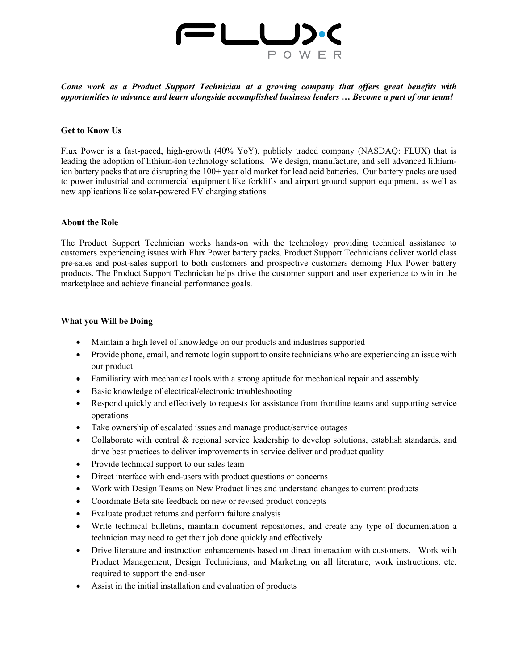

*Come work as a Product Support Technician at a growing company that offers great benefits with opportunities to advance and learn alongside accomplished business leaders … Become a part of our team!* 

### **Get to Know Us**

Flux Power is a fast-paced, high-growth (40% YoY), publicly traded company (NASDAQ: FLUX) that is leading the adoption of lithium-ion technology solutions. We design, manufacture, and sell advanced lithiumion battery packs that are disrupting the 100+ year old market for lead acid batteries. Our battery packs are used to power industrial and commercial equipment like forklifts and airport ground support equipment, as well as new applications like solar-powered EV charging stations.

#### **About the Role**

The Product Support Technician works hands-on with the technology providing technical assistance to customers experiencing issues with Flux Power battery packs. Product Support Technicians deliver world class pre-sales and post-sales support to both customers and prospective customers demoing Flux Power battery products. The Product Support Technician helps drive the customer support and user experience to win in the marketplace and achieve financial performance goals.

#### **What you Will be Doing**

- Maintain a high level of knowledge on our products and industries supported
- Provide phone, email, and remote login support to onsite technicians who are experiencing an issue with our product
- Familiarity with mechanical tools with a strong aptitude for mechanical repair and assembly
- Basic knowledge of electrical/electronic troubleshooting
- Respond quickly and effectively to requests for assistance from frontline teams and supporting service operations
- Take ownership of escalated issues and manage product/service outages
- Collaborate with central & regional service leadership to develop solutions, establish standards, and drive best practices to deliver improvements in service deliver and product quality
- Provide technical support to our sales team
- Direct interface with end-users with product questions or concerns
- Work with Design Teams on New Product lines and understand changes to current products
- Coordinate Beta site feedback on new or revised product concepts
- Evaluate product returns and perform failure analysis
- Write technical bulletins, maintain document repositories, and create any type of documentation a technician may need to get their job done quickly and effectively
- Drive literature and instruction enhancements based on direct interaction with customers. Work with Product Management, Design Technicians, and Marketing on all literature, work instructions, etc. required to support the end-user
- Assist in the initial installation and evaluation of products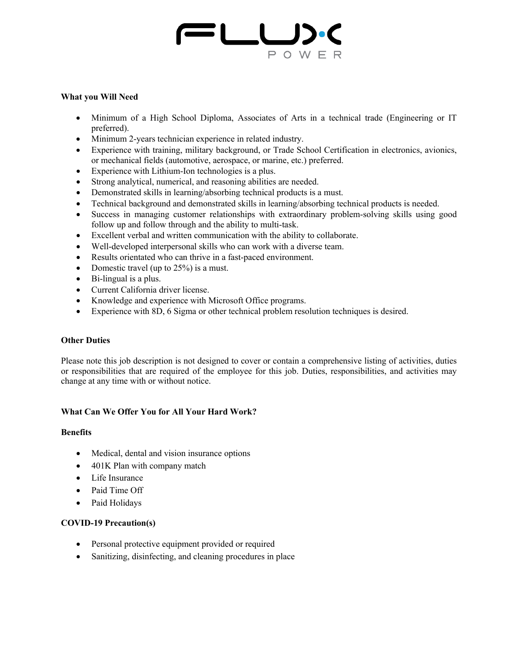

## **What you Will Need**

- Minimum of a High School Diploma, Associates of Arts in a technical trade (Engineering or IT preferred).
- Minimum 2-years technician experience in related industry.
- Experience with training, military background, or Trade School Certification in electronics, avionics, or mechanical fields (automotive, aerospace, or marine, etc.) preferred.
- Experience with Lithium-Ion technologies is a plus.
- Strong analytical, numerical, and reasoning abilities are needed.
- Demonstrated skills in learning/absorbing technical products is a must.
- Technical background and demonstrated skills in learning/absorbing technical products is needed.
- Success in managing customer relationships with extraordinary problem-solving skills using good follow up and follow through and the ability to multi-task.
- Excellent verbal and written communication with the ability to collaborate.
- Well-developed interpersonal skills who can work with a diverse team.
- Results orientated who can thrive in a fast-paced environment.
- Domestic travel (up to 25%) is a must.
- Bi-lingual is a plus.
- Current California driver license.
- Knowledge and experience with Microsoft Office programs.
- Experience with 8D, 6 Sigma or other technical problem resolution techniques is desired.

# **Other Duties**

Please note this job description is not designed to cover or contain a comprehensive listing of activities, duties or responsibilities that are required of the employee for this job. Duties, responsibilities, and activities may change at any time with or without notice.

# **What Can We Offer You for All Your Hard Work?**

# **Benefits**

- Medical, dental and vision insurance options
- 401K Plan with company match
- Life Insurance
- Paid Time Off
- Paid Holidays

# **COVID-19 Precaution(s)**

- Personal protective equipment provided or required
- Sanitizing, disinfecting, and cleaning procedures in place